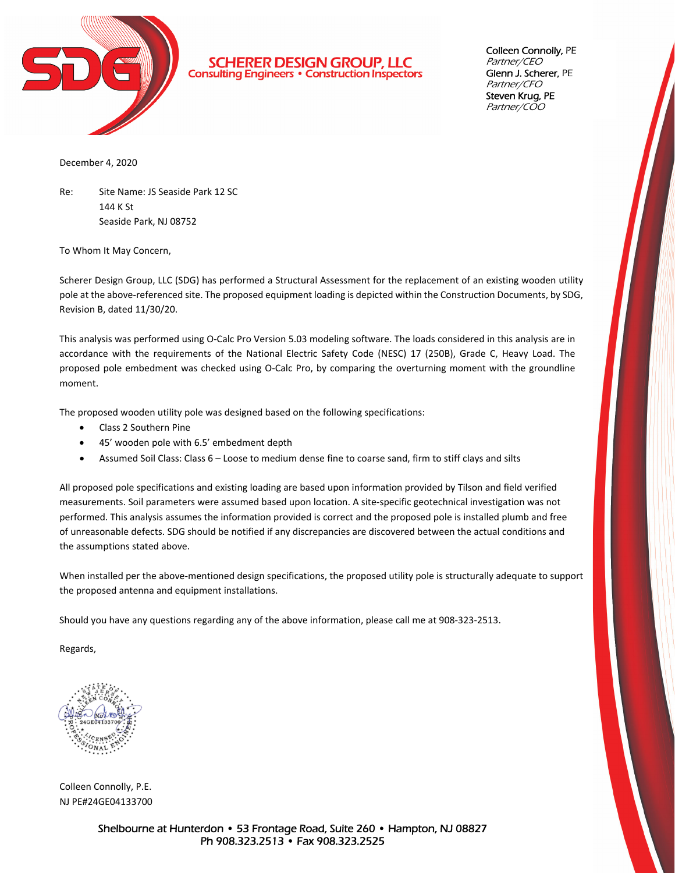

**SCHERER DESIGN GROUP, LLC Consulting Engineers • Construction Inspectors**  Colleen Connolly, PE Partner/CEO Glenn J. Scherer, PE Partner/CFO Steven Krug, PE Partner/COO

December 4, 2020

Re: Site Name: JS Seaside Park 12 SC 144 K St Seaside Park, NJ 08752

To Whom It May Concern,

Scherer Design Group, LLC (SDG) has performed a Structural Assessment for the replacement of an existing wooden utility pole at the above-referenced site. The proposed equipment loading is depicted within the Construction Documents, by SDG, Revision B, dated 11/30/20.

This analysis was performed using O‐Calc Pro Version 5.03 modeling software. The loads considered in this analysis are in accordance with the requirements of the National Electric Safety Code (NESC) 17 (250B), Grade C, Heavy Load. The proposed pole embedment was checked using O‐Calc Pro, by comparing the overturning moment with the groundline moment.

The proposed wooden utility pole was designed based on the following specifications:

- Class 2 Southern Pine
- 45' wooden pole with 6.5' embedment depth
- Assumed Soil Class: Class 6 Loose to medium dense fine to coarse sand, firm to stiff clays and silts

All proposed pole specifications and existing loading are based upon information provided by Tilson and field verified measurements. Soil parameters were assumed based upon location. A site‐specific geotechnical investigation was not performed. This analysis assumes the information provided is correct and the proposed pole is installed plumb and free of unreasonable defects. SDG should be notified if any discrepancies are discovered between the actual conditions and the assumptions stated above.

When installed per the above-mentioned design specifications, the proposed utility pole is structurally adequate to support the proposed antenna and equipment installations.

Should you have any questions regarding any of the above information, please call me at 908‐323‐2513.

Regards,

Colleen Connolly, P.E. NJ PE#24GE04133700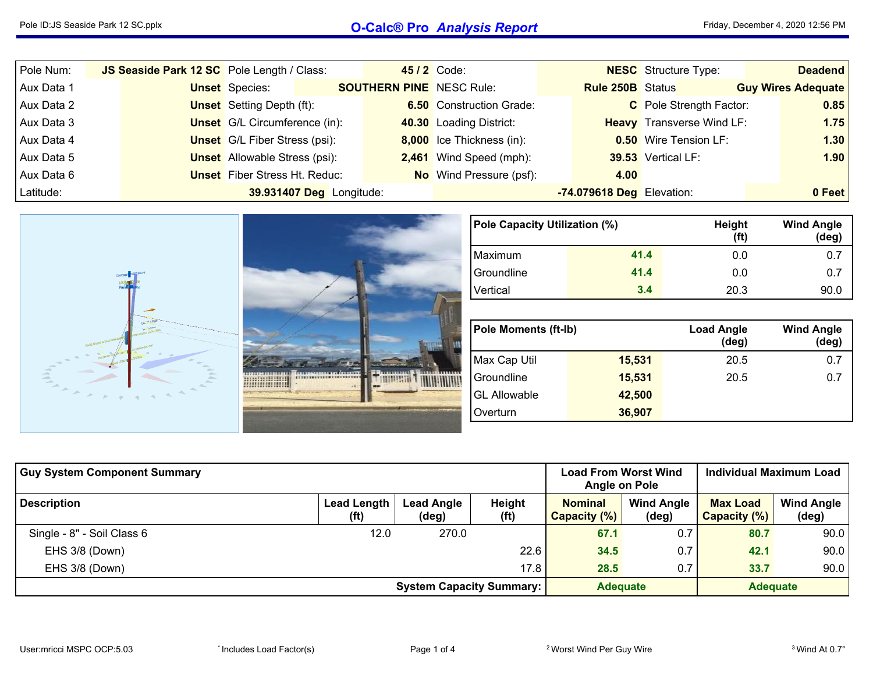## Pole ID:JS Seaside Park <sup>12</sup> SC.pplx **O-Calc® Pro** *Analysis Report*

| Pole Num:  | JS Seaside Park 12 SC Pole Length / Class: |                                      |                          |                                 | 45 / 2 Code:                    |                           | <b>NESC</b> Structure Type:      | <b>Deadend</b>            |
|------------|--------------------------------------------|--------------------------------------|--------------------------|---------------------------------|---------------------------------|---------------------------|----------------------------------|---------------------------|
| Aux Data 1 |                                            | <b>Unset</b> Species:                |                          | <b>SOUTHERN PINE</b> NESC Rule: |                                 | <b>Rule 250B</b> Status   |                                  | <b>Guy Wires Adequate</b> |
| Aux Data 2 |                                            | <b>Unset</b> Setting Depth (ft):     |                          |                                 | <b>6.50</b> Construction Grade: |                           | C Pole Strength Factor:          | 0.85                      |
| Aux Data 3 |                                            | <b>Unset</b> G/L Circumference (in): |                          |                                 | 40.30 Loading District:         |                           | <b>Heavy</b> Transverse Wind LF: | 1.75                      |
| Aux Data 4 |                                            | <b>Unset</b> G/L Fiber Stress (psi): |                          |                                 | 8,000 Ice Thickness (in):       |                           | <b>0.50</b> Wire Tension LF:     | 1.30                      |
| Aux Data 5 |                                            | <b>Unset</b> Allowable Stress (psi): |                          |                                 | 2,461 Wind Speed (mph):         |                           | 39.53 Vertical LF:               | 1.90                      |
| Aux Data 6 |                                            | <b>Unset</b> Fiber Stress Ht. Reduc: |                          |                                 | <b>No</b> Wind Pressure (psf):  | 4.00                      |                                  |                           |
| Latitude:  |                                            |                                      | 39.931407 Deg Longitude: |                                 |                                 | -74.079618 Deg Elevation: |                                  | 0 Feet                    |
|            |                                            |                                      |                          |                                 |                                 |                           |                                  |                           |



| <b>Guy System Component Summary</b> | <b>Load From Worst Wind</b><br>Angle on Pole                   |       | Individual Maximum Load     |                                                              |     |                                 |                            |
|-------------------------------------|----------------------------------------------------------------|-------|-----------------------------|--------------------------------------------------------------|-----|---------------------------------|----------------------------|
| <b>Description</b>                  | <b>Lead Length</b><br>Lead Angle<br>(f <sup>t</sup> )<br>(deg) |       | Height<br>(f <sup>t</sup> ) | <b>Nominal</b><br><b>Wind Angle</b><br>Capacity (%)<br>(deg) |     | <b>Max Load</b><br>Capacity (%) | <b>Wind Angle</b><br>(deg) |
| Single - 8" - Soil Class 6          | 12.0                                                           | 270.0 |                             | 67.1                                                         | 0.7 | 80.7                            | 90.0                       |
| EHS 3/8 (Down)                      |                                                                |       | 22.6                        | 34.5                                                         | 0.7 | 42.1                            | 90.0                       |
| EHS 3/8 (Down)                      |                                                                |       | 17.8                        | 28.5                                                         | 0.7 | 33.7                            | 90.0                       |
|                                     | <b>Adequate</b>                                                |       | <b>Adequate</b>             |                                                              |     |                                 |                            |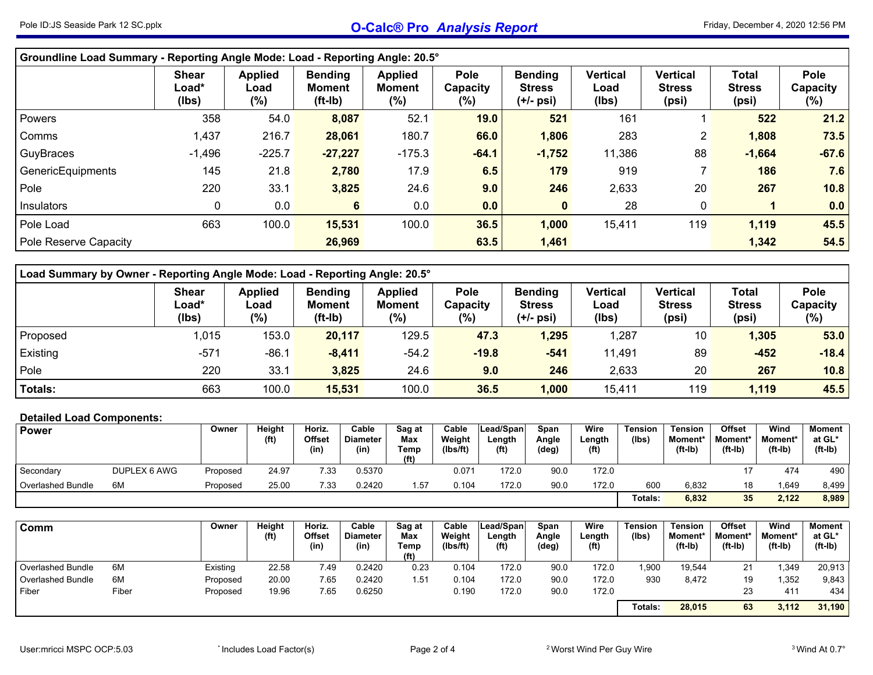| Groundline Load Summary - Reporting Angle Mode: Load - Reporting Angle: 20.5° |                                |                                  |                                              |                                        |                                   |                                              |                                  |                                           |                                 |                                   |  |  |  |
|-------------------------------------------------------------------------------|--------------------------------|----------------------------------|----------------------------------------------|----------------------------------------|-----------------------------------|----------------------------------------------|----------------------------------|-------------------------------------------|---------------------------------|-----------------------------------|--|--|--|
|                                                                               | <b>Shear</b><br>Load*<br>(Ibs) | <b>Applied</b><br>Load<br>$(\%)$ | <b>Bending</b><br><b>Moment</b><br>$(ft-lb)$ | <b>Applied</b><br><b>Moment</b><br>(%) | <b>Pole</b><br>Capacity<br>$(\%)$ | <b>Bending</b><br><b>Stress</b><br>(+/- psi) | <b>Vertical</b><br>Load<br>(Ibs) | <b>Vertical</b><br><b>Stress</b><br>(psi) | Total<br><b>Stress</b><br>(psi) | <b>Pole</b><br>Capacity<br>$(\%)$ |  |  |  |
| Powers                                                                        | 358                            | 54.0                             | 8,087                                        | 52.1                                   | 19.0                              | 521                                          | 161                              |                                           | 522                             | 21.2                              |  |  |  |
| Comms                                                                         | 1,437                          | 216.7                            | 28,061                                       | 180.7                                  | 66.0                              | 1,806                                        | 283                              | $\mathbf{2}^{\prime}$                     | 1,808                           | 73.5                              |  |  |  |
| GuyBraces                                                                     | $-1,496$                       | $-225.7$                         | $-27,227$                                    | $-175.3$                               | $-64.1$                           | $-1,752$                                     | 11,386                           | 88                                        | $-1,664$                        | $-67.6$                           |  |  |  |
| GenericEquipments                                                             | 145                            | 21.8                             | 2,780                                        | 17.9                                   | 6.5                               | 179                                          | 919                              |                                           | 186                             | 7.6                               |  |  |  |
| Pole                                                                          | 220                            | 33.1                             | 3,825                                        | 24.6                                   | 9.0                               | 246                                          | 2,633                            | 20                                        | 267                             | 10.8                              |  |  |  |
| <b>Insulators</b>                                                             | 0                              | 0.0                              | 6                                            | 0.0                                    | 0.0                               |                                              | 28                               | 0                                         |                                 | 0.0                               |  |  |  |
| Pole Load                                                                     | 663                            | 100.0                            | 15,531                                       | 100.0                                  | 36.5                              | 1,000                                        | 15,411                           | 119                                       | 1,119                           | 45.5                              |  |  |  |
| Pole Reserve Capacity                                                         |                                |                                  | 26,969                                       |                                        | 63.5                              | 1,461                                        |                                  |                                           | 1,342                           | 54.5                              |  |  |  |

| Load Summary by Owner - Reporting Angle Mode: Load - Reporting Angle: 20.5° |                                         |                               |                                       |                                           |                                |                                                |                                  |                                    |                                        |                         |  |  |  |
|-----------------------------------------------------------------------------|-----------------------------------------|-------------------------------|---------------------------------------|-------------------------------------------|--------------------------------|------------------------------------------------|----------------------------------|------------------------------------|----------------------------------------|-------------------------|--|--|--|
|                                                                             | <b>Shear</b><br>$\text{Load*}$<br>(lbs) | <b>Applied</b><br>Load<br>(%) | <b>Bending</b><br>Moment<br>$(ft-lb)$ | <b>Applied</b><br><b>Moment</b><br>$(\%)$ | <b>Pole</b><br>Capacity<br>(%) | <b>Bending</b><br><b>Stress</b><br>$(+/-$ psi) | <b>Vertical</b><br>Load<br>(lbs) | Vertical<br><b>Stress</b><br>(psi) | <b>Total</b><br><b>Stress</b><br>(psi) | Pole<br>Capacity<br>(%) |  |  |  |
| Proposed                                                                    | 1,015                                   | 153.0                         | 20,117                                | 129.5                                     | 47.3                           | 1,295                                          | 1,287                            | 10                                 | 1,305                                  | 53.0                    |  |  |  |
| Existing                                                                    | $-571$                                  | $-86.1$                       | $-8,411$                              | $-54.2$                                   | $-19.8$                        | $-541$                                         | 11,491                           | 89                                 | $-452$                                 | $-18.4$                 |  |  |  |
| Pole                                                                        | 220                                     | 33.1                          | 3,825                                 | 24.6                                      | 9.0                            | 246                                            | 2,633                            | 20                                 | 267                                    | 10.8                    |  |  |  |
| <b>Totals:</b>                                                              | 663                                     | 100.0                         | 15,531                                | 100.0                                     | 36.5                           | 1,000                                          | 15,411                           | 119                                | 1,119                                  | 45.5                    |  |  |  |

## **Detailed Load Components:**

| <b>Power</b>      |              | Owner    | Height<br>(ft) | Horiz.<br><b>Offset</b><br>(in) | Cable<br><b>Diameter</b><br>(in) | Sag at<br>Max<br>Temp<br>(f <sup>t</sup> ) | Cable<br>Weight<br>(lbs/ft) | Lead/Span<br>∟ength<br>(f <sup>t</sup> ) | <b>Span</b><br>Angle<br>(deg) | Wire<br>Length<br>(f <sup>t</sup> ) | Tension<br>(lbs) | Tension<br>Moment*<br>(ft-Ib) | <b>Offset</b><br><b>Moment</b> *<br>$(ft-lb)$ | Wind<br>Moment*<br>(ft-Ib) | Moment<br>at GL*<br>$(ft-lb)$ |
|-------------------|--------------|----------|----------------|---------------------------------|----------------------------------|--------------------------------------------|-----------------------------|------------------------------------------|-------------------------------|-------------------------------------|------------------|-------------------------------|-----------------------------------------------|----------------------------|-------------------------------|
| Secondary         | DUPLEX 6 AWG | Proposed | 24.97          | 7.33                            | 0.5370                           |                                            | 0.071                       | 172.0                                    | 90.0                          | 172.0                               |                  |                               |                                               | 474                        | 490                           |
| Overlashed Bundle | 6M           | Proposed | 25.00          | 7.33                            | 0.2420                           | 1.57                                       | 0.104                       | 172.0                                    | 90.0                          | 172.0                               | 600              | 6,832                         | 18                                            | .649                       | 8,499                         |
|                   |              |          |                |                                 |                                  |                                            |                             |                                          |                               |                                     | Totals:          | 6,832                         | 35                                            | 2,122                      | 8,989                         |

| Comm                     |       | Owner    | Height<br>(ft) | Horiz.<br><b>Offset</b><br>(in) | Cable<br><b>Diameter</b><br>(in) | Sag at<br>Max<br>Temp<br>(f <sup>t</sup> ) | Cable<br>Weight<br>(lbs/ft) | Lead/Span<br>Length<br>(f <sup>t</sup> ) | Span<br>Angle<br>(deg) | Wire<br>Length<br>(f <sup>t</sup> ) | Tension<br>(lbs) | <b>Tension</b><br>Moment*<br>(ft-Ib) | <b>Offset</b><br>Moment*<br>$(ft-l)$ | Wind<br>Moment*<br>$(ft-lb)$ | Moment<br>at GL*<br>$(ft-lb)$ |
|--------------------------|-------|----------|----------------|---------------------------------|----------------------------------|--------------------------------------------|-----------------------------|------------------------------------------|------------------------|-------------------------------------|------------------|--------------------------------------|--------------------------------------|------------------------------|-------------------------------|
| Overlashed Bundle        | 6M    | Existing | 22.58          | 49.                             | 0.2420                           | 0.23                                       | 0.104                       | 172.0                                    | 90.0                   | 172.0                               | 1,900            | 19,544                               | 21                                   | ,349                         | 20,913                        |
| <b>Overlashed Bundle</b> | 6M    | Proposed | 20.00          | 7.65                            | 0.2420                           | 1.51                                       | 0.104                       | 172.0                                    | 90.0                   | 172.0                               | 930              | 8,472                                | 19                                   | ,352                         | 9,843                         |
| Fiber                    | Fiber | Proposed | 19.96          | 7.65                            | 0.6250                           |                                            | 0.190                       | 172.0                                    | 90.0                   | 172.0                               |                  |                                      | 23                                   | 41 <sup>4</sup>              | 434                           |
|                          |       |          |                |                                 |                                  |                                            |                             |                                          |                        |                                     | Totals:          | 28,015                               | 63                                   | 3,112                        | 31,190                        |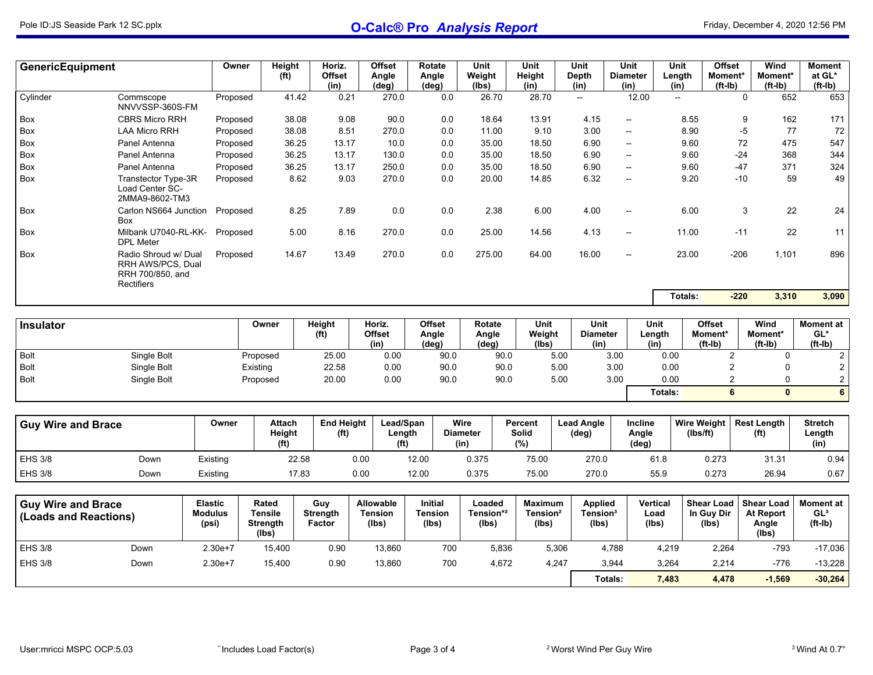| GenericEquipment                                   |                                                                             | Owner                                     | Height<br>(f <sup>t</sup> )                         |       | Horiz.<br><b>Offset</b><br>(in)        | <b>Offset</b><br>Angle<br>(deg)             | <b>Rotate</b><br>Angle<br>$(\text{deg})$  |         | Unit<br>Weight<br>(Ibs)                  | Unit<br>Height<br>(in)                          |       | Unit<br>Depth<br>(in)                           | Unit<br><b>Diameter</b><br>(in)    | Length<br>(in)            | Unit                                     | <b>Offset</b><br>Moment*<br>(ft-Ib) | Wind<br>Moment*<br>$(ft-lb)$                     | Moment<br>at GL*<br>$(ft-lb)$                    |
|----------------------------------------------------|-----------------------------------------------------------------------------|-------------------------------------------|-----------------------------------------------------|-------|----------------------------------------|---------------------------------------------|-------------------------------------------|---------|------------------------------------------|-------------------------------------------------|-------|-------------------------------------------------|------------------------------------|---------------------------|------------------------------------------|-------------------------------------|--------------------------------------------------|--------------------------------------------------|
| Cylinder                                           | Commscope<br>NNVVSSP-360S-FM                                                | Proposed                                  |                                                     | 41.42 | 0.21                                   | 270.0                                       |                                           | 0.0     | 26.70                                    | 28.70                                           |       | --                                              | 12.00                              |                           | $\mathbf{u}$                             | 0                                   | 652                                              | 653                                              |
| Box                                                | <b>CBRS Micro RRH</b>                                                       | Proposed                                  |                                                     | 38.08 | 9.08                                   | 90.0                                        |                                           | 0.0     | 18.64                                    | 13.91                                           |       | 4.15                                            | $\overline{\phantom{a}}$           |                           | 8.55                                     | 9                                   | 162                                              | 171                                              |
| Box                                                | <b>LAA Micro RRH</b>                                                        | Proposed                                  |                                                     | 38.08 | 8.51                                   | 270.0                                       |                                           | 0.0     | 11.00                                    | 9.10                                            |       | 3.00                                            | $\overline{\phantom{a}}$           |                           | 8.90                                     | $-5$                                | 77                                               | 72                                               |
| Box                                                | Panel Antenna                                                               | Proposed                                  |                                                     | 36.25 | 13.17                                  | 10.0                                        |                                           | 0.0     | 35.00                                    | 18.50                                           |       | 6.90                                            | $\overline{\phantom{a}}$           |                           | 9.60                                     | 72                                  | 475                                              | 547                                              |
| Box                                                | Panel Antenna                                                               | Proposed                                  |                                                     | 36.25 | 13.17                                  | 130.0                                       |                                           | 0.0     | 35.00                                    | 18.50                                           |       | 6.90                                            | $\overline{\phantom{a}}$           |                           | 9.60                                     | $-24$                               | 368                                              | 344                                              |
| Box                                                | Panel Antenna                                                               | Proposed                                  |                                                     | 36.25 | 13.17                                  | 250.0                                       |                                           | 0.0     | 35.00                                    | 18.50                                           |       | 6.90                                            | $\overline{\phantom{a}}$           |                           | 9.60                                     | $-47$                               | 371                                              | 324                                              |
| Box                                                | Transtector Type-3R<br>Load Center SC-<br>2MMA9-8602-TM3                    | Proposed                                  |                                                     | 8.62  | 9.03                                   | 270.0                                       |                                           | 0.0     | 20.00                                    | 14.85                                           |       | 6.32                                            | $\overline{\phantom{a}}$           |                           | 9.20                                     | $-10$                               | 59                                               | 49                                               |
| Box                                                | Carlon NS664 Junction<br><b>Box</b>                                         | Proposed                                  |                                                     | 8.25  | 7.89                                   | 0.0                                         |                                           | $0.0\,$ | 2.38                                     | 6.00                                            |       | 4.00                                            | $\overline{\phantom{a}}$           |                           | 6.00                                     | 3                                   | 22                                               | 24                                               |
| Box                                                | Milbank U7040-RL-KK-<br><b>DPL Meter</b>                                    | Proposed                                  |                                                     | 5.00  | 8.16                                   | 270.0                                       |                                           | 0.0     | 25.00                                    | 14.56                                           |       | 4.13                                            | --                                 |                           | 11.00                                    | $-11$                               | 22                                               | 11                                               |
| Box                                                | Radio Shroud w/ Dual<br>RRH AWS/PCS, Dual<br>RRH 700/850, and<br>Rectifiers | Proposed                                  |                                                     | 14.67 | 13.49                                  | 270.0                                       |                                           | 0.0     | 275.00                                   | 64.00                                           |       | 16.00                                           | $\overline{\phantom{a}}$           |                           | 23.00                                    | $-206$                              | 1,101                                            | 896                                              |
|                                                    |                                                                             |                                           |                                                     |       |                                        |                                             |                                           |         |                                          |                                                 |       |                                                 |                                    |                           | Totals:                                  | $-220$                              | 3,310                                            | 3,090                                            |
|                                                    |                                                                             |                                           |                                                     |       |                                        |                                             |                                           |         |                                          |                                                 |       |                                                 |                                    |                           |                                          |                                     |                                                  |                                                  |
| Insulator                                          |                                                                             |                                           | Owner                                               |       | <b>Height</b>                          | Horiz.                                      | <b>Offset</b>                             |         | Rotate                                   | <b>Unit</b>                                     |       | <b>Unit</b>                                     |                                    | <b>Unit</b>               | <b>Offset</b>                            |                                     | Wind                                             | Moment at                                        |
|                                                    |                                                                             |                                           |                                                     |       | (f <sup>t</sup> )                      | <b>Offset</b><br>(in)                       | Angle<br>(deg)                            |         | Angle<br>(deg)                           | Weight<br>(lbs)                                 |       | <b>Diameter</b><br>(in)                         |                                    | Length<br>(in)            | Moment*<br>$(ft-lb)$                     |                                     | Moment*<br>$(ft-lb)$                             | $GL^*$<br>$(ft-lb)$                              |
| <b>Bolt</b>                                        | Single Bolt                                                                 |                                           | Proposed                                            |       | 25.00                                  | 0.00                                        |                                           | 90.0    | 90.0                                     |                                                 | 5.00  | 3.00                                            |                                    | 0.00                      |                                          | $\overline{2}$                      | $\mathbf 0$                                      | $\overline{c}$                                   |
| <b>Bolt</b>                                        | Single Bolt                                                                 |                                           | Existing                                            |       | 22.58                                  | 0.00                                        |                                           | 90.0    | 90.0                                     |                                                 | 5.00  | 3.00                                            |                                    | 0.00                      |                                          | $\overline{2}$                      | $\mathbf 0$                                      | $\overline{c}$                                   |
| <b>Bolt</b>                                        | Single Bolt                                                                 |                                           | Proposed                                            |       | 20.00                                  | 0.00                                        |                                           | 90.0    | 90.0                                     |                                                 | 5.00  | 3.00                                            |                                    | 0.00                      |                                          | $\mathbf{2}$                        | $\mathbf 0$                                      | $\overline{c}$                                   |
|                                                    |                                                                             |                                           |                                                     |       |                                        |                                             |                                           |         |                                          |                                                 |       |                                                 |                                    | Totals:                   |                                          | 6                                   | $\mathbf{0}$                                     | $\overline{\mathbf{6}}$                          |
| <b>Guy Wire and Brace</b>                          |                                                                             | Owner                                     | <b>Attach</b><br>Height<br>(f <sup>t</sup> )        |       | <b>End Height</b><br>(f <sup>t</sup> ) |                                             | Lead/Span<br>Length<br>(f <sup>t</sup> )  |         | Wire<br><b>Diameter</b><br>(in)          | Percent<br>Solid<br>(%)                         |       | <b>Lead Angle</b><br>(deg)                      | Incline<br>Angle<br>$(\text{deg})$ |                           | Wire Weight<br>(Ibs/ft)                  |                                     | <b>Rest Length</b><br>(f <sup>t</sup> )          | <b>Stretch</b><br>Length<br>(in)                 |
| <b>EHS 3/8</b>                                     | Down                                                                        | Existing                                  |                                                     | 22.58 |                                        | 0.00                                        | 12.00                                     |         | 0.375                                    | 75.00                                           |       | 270.0                                           |                                    | 61.8                      | 0.273                                    |                                     | 31.31                                            | 0.94                                             |
| <b>EHS 3/8</b>                                     | Down                                                                        | Existing                                  |                                                     | 17.83 |                                        | 0.00                                        | 12.00                                     |         | 0.375                                    | 75.00                                           |       | 270.0                                           |                                    | 55.9                      | 0.273                                    |                                     | 26.94                                            | 0.67                                             |
|                                                    |                                                                             |                                           |                                                     |       |                                        |                                             |                                           |         |                                          |                                                 |       |                                                 |                                    |                           |                                          |                                     |                                                  |                                                  |
| <b>Guy Wire and Brace</b><br>(Loads and Reactions) |                                                                             | <b>Elastic</b><br><b>Modulus</b><br>(psi) | Rated<br><b>Tensile</b><br><b>Strength</b><br>(lbs) |       | Guy<br><b>Strength</b><br>Factor       | <b>Allowable</b><br><b>Tension</b><br>(lbs) | <b>Initial</b><br><b>Tension</b><br>(Ibs) |         | Loaded<br>Tension* <sup>2</sup><br>(lbs) | <b>Maximum</b><br>Tension <sup>2</sup><br>(Ibs) |       | <b>Applied</b><br>Tension <sup>3</sup><br>(lbs) |                                    | Vertical<br>Load<br>(Ibs) | <b>Shear Load</b><br>In Guy Dir<br>(Ibs) |                                     | <b>Shear Load</b><br>At Report<br>Angle<br>(lbs) | <b>Moment at</b><br>GL <sup>3</sup><br>$(ft-lb)$ |
| <b>EHS 3/8</b>                                     | Down                                                                        | $2.30e+7$                                 | 15,400                                              |       | 0.90                                   | 13,860                                      |                                           | 700     | 5,836                                    |                                                 | 5,306 | 4,788                                           |                                    | 4,219                     |                                          | 2,264                               | $-793$                                           | $-17,036$                                        |
| <b>EHS 3/8</b>                                     | Down                                                                        | $2.30e+7$                                 | 15,400                                              |       | 0.90                                   | 13,860                                      |                                           | 700     | 4,672                                    |                                                 | 4,247 | 3,944                                           |                                    | 3,264                     |                                          | 2,214                               | $-776$                                           | $-13,228$                                        |
|                                                    |                                                                             |                                           |                                                     |       |                                        |                                             |                                           |         |                                          |                                                 |       | Totals:                                         |                                    | 7,483                     |                                          | 4,478                               | $-1,569$                                         | $-30,264$                                        |